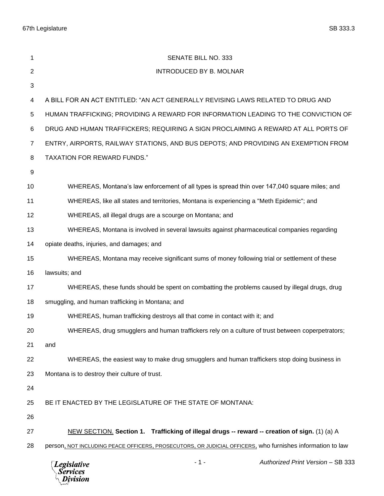67th Legislature SB 333.3

| 1              | SENATE BILL NO. 333                                                                                       |
|----------------|-----------------------------------------------------------------------------------------------------------|
| $\overline{2}$ | <b>INTRODUCED BY B. MOLNAR</b>                                                                            |
| 3              |                                                                                                           |
| 4              | A BILL FOR AN ACT ENTITLED: "AN ACT GENERALLY REVISING LAWS RELATED TO DRUG AND                           |
| 5              | HUMAN TRAFFICKING; PROVIDING A REWARD FOR INFORMATION LEADING TO THE CONVICTION OF                        |
| 6              | DRUG AND HUMAN TRAFFICKERS; REQUIRING A SIGN PROCLAIMING A REWARD AT ALL PORTS OF                         |
| $\overline{7}$ | ENTRY, AIRPORTS, RAILWAY STATIONS, AND BUS DEPOTS; AND PROVIDING AN EXEMPTION FROM                        |
| 8              | <b>TAXATION FOR REWARD FUNDS."</b>                                                                        |
| 9              |                                                                                                           |
| 10             | WHEREAS, Montana's law enforcement of all types is spread thin over 147,040 square miles; and             |
| 11             | WHEREAS, like all states and territories, Montana is experiencing a "Meth Epidemic"; and                  |
| 12             | WHEREAS, all illegal drugs are a scourge on Montana; and                                                  |
| 13             | WHEREAS, Montana is involved in several lawsuits against pharmaceutical companies regarding               |
| 14             | opiate deaths, injuries, and damages; and                                                                 |
| 15             | WHEREAS, Montana may receive significant sums of money following trial or settlement of these             |
| 16             | lawsuits; and                                                                                             |
| 17             | WHEREAS, these funds should be spent on combatting the problems caused by illegal drugs, drug             |
| 18             | smuggling, and human trafficking in Montana; and                                                          |
| 19             | WHEREAS, human trafficking destroys all that come in contact with it; and                                 |
| 20             | WHEREAS, drug smugglers and human traffickers rely on a culture of trust between coperpetrators;          |
| 21             | and                                                                                                       |
| 22             | WHEREAS, the easiest way to make drug smugglers and human traffickers stop doing business in              |
| 23             | Montana is to destroy their culture of trust.                                                             |
| 24             |                                                                                                           |
| 25             | BE IT ENACTED BY THE LEGISLATURE OF THE STATE OF MONTANA:                                                 |
| 26             |                                                                                                           |
| 27             | NEW SECTION. Section 1. Trafficking of illegal drugs -- reward -- creation of sign. (1) (a) A             |
| 28             | person, NOT INCLUDING PEACE OFFICERS, PROSECUTORS, OR JUDICIAL OFFICERS, who furnishes information to law |
|                | Authorized Print Version - SB 333<br>$-1-$<br><b>Legislative</b><br><b>Services</b><br>Division           |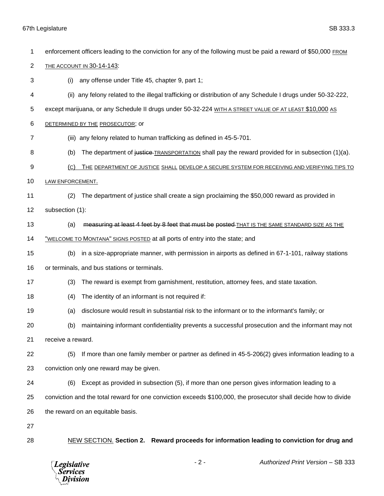## 67th Legislature SB 333.3

| 1  | enforcement officers leading to the conviction for any of the following must be paid a reward of \$50,000 FROM  |
|----|-----------------------------------------------------------------------------------------------------------------|
| 2  | <b>THE ACCOUNT IN 30-14-143:</b>                                                                                |
| 3  | any offense under Title 45, chapter 9, part 1;<br>(i)                                                           |
| 4  | (ii) any felony related to the illegal trafficking or distribution of any Schedule I drugs under 50-32-222,     |
| 5  | except marijuana, or any Schedule II drugs under 50-32-224 WITH A STREET VALUE OF AT LEAST \$10,000 AS          |
| 6  | DETERMINED BY THE PROSECUTOR; OF                                                                                |
| 7  | (iii) any felony related to human trafficking as defined in 45-5-701.                                           |
| 8  | The department of justice-TRANSPORTATION shall pay the reward provided for in subsection (1)(a).<br>(b)         |
| 9  | (C)<br>THE DEPARTMENT OF JUSTICE SHALL DEVELOP A SECURE SYSTEM FOR RECEIVING AND VERIFYING TIPS TO              |
| 10 | LAW ENFORCEMENT.                                                                                                |
| 11 | The department of justice shall create a sign proclaiming the \$50,000 reward as provided in<br>(2)             |
| 12 | subsection (1):                                                                                                 |
| 13 | measuring at least 4 feet by 8 feet that must be posted-THAT IS THE SAME STANDARD SIZE AS THE<br>(a)            |
| 14 | "WELCOME TO MONTANA" SIGNS POSTED at all ports of entry into the state; and                                     |
| 15 | in a size-appropriate manner, with permission in airports as defined in 67-1-101, railway stations<br>(b)       |
| 16 | or terminals, and bus stations or terminals.                                                                    |
| 17 | The reward is exempt from garnishment, restitution, attorney fees, and state taxation.<br>(3)                   |
| 18 | The identity of an informant is not required if:<br>(4)                                                         |
| 19 | disclosure would result in substantial risk to the informant or to the informant's family; or<br>(a)            |
| 20 | maintaining informant confidentiality prevents a successful prosecution and the informant may not<br>(b)        |
| 21 | receive a reward.                                                                                               |
| 22 | If more than one family member or partner as defined in 45-5-206(2) gives information leading to a<br>(5)       |
| 23 | conviction only one reward may be given.                                                                        |
| 24 | Except as provided in subsection (5), if more than one person gives information leading to a<br>(6)             |
| 25 | conviction and the total reward for one conviction exceeds \$100,000, the prosecutor shall decide how to divide |
| 26 | the reward on an equitable basis.                                                                               |
| 27 |                                                                                                                 |
| 28 | NEW SECTION. Section 2. Reward proceeds for information leading to conviction for drug and                      |